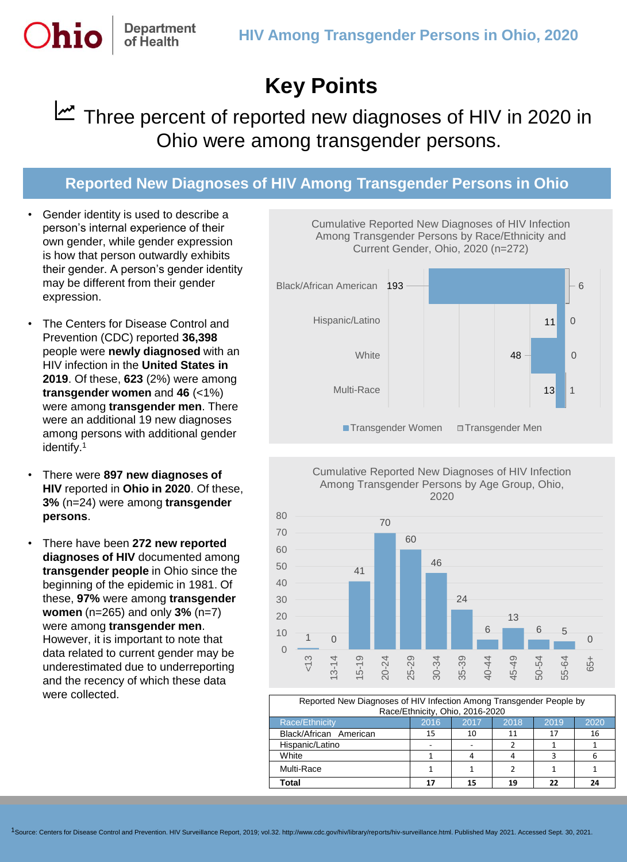## **Key Points**

## Three percent of reported new diagnoses of HIV in 2020 in Ohio were among transgender persons.

## **Reported New Diagnoses of HIV Among Transgender Persons in Ohio**

• Gender identity is used to describe a person's internal experience of their own gender, while gender expression is how that person outwardly exhibits their gender. A person's gender identity may be different from their gender expression.

Department of Health

- The Centers for Disease Control and Prevention (CDC) reported **36,398** people were **newly diagnosed** with an HIV infection in the **United States in 2019**. Of these, **623** (2%) were among **transgender women** and **46** (<1%) were among **transgender men**. There were an additional 19 new diagnoses among persons with additional gender identify.<sup>1</sup>
- There were **897 new diagnoses of HIV** reported in **Ohio in 2020**. Of these, **3%** (n=24) were among **transgender persons**.
- There have been **272 new reported diagnoses of HIV** documented among **transgender people** in Ohio since the beginning of the epidemic in 1981. Of these, **97%** were among **transgender women** (n=265) and only **3%** (n=7) were among **transgender men**. However, it is important to note that data related to current gender may be underestimated due to underreporting and the recency of which these data were collected.







| Reported New Diagnoses of HIV Infection Among Transgender People by<br>Race/Ethnicity, Ohio, 2016-2020 |      |      |      |      |      |
|--------------------------------------------------------------------------------------------------------|------|------|------|------|------|
| Race/Ethnicity                                                                                         | 2016 | 2017 | 2018 | 2019 | 2020 |
| Black/African American                                                                                 | 15   | 10   | 11   | 17   | 16   |
| Hispanic/Latino                                                                                        |      |      |      |      |      |
| White                                                                                                  |      |      |      |      |      |
| Multi-Race                                                                                             |      |      |      |      |      |
| Total                                                                                                  | 17   | 15   | 19   | 77   | 24   |